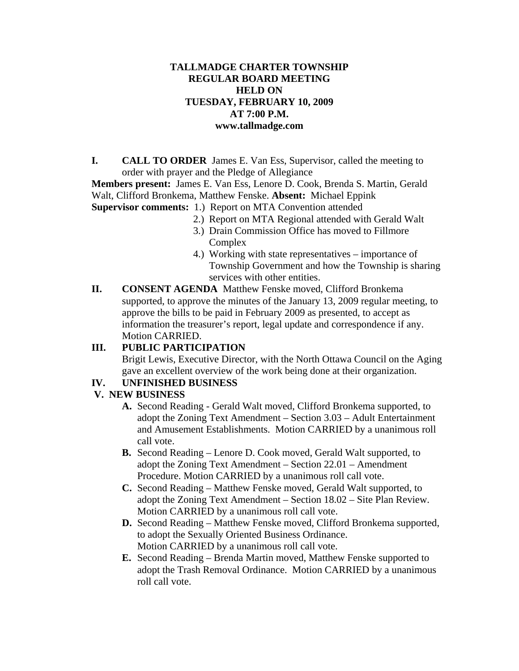#### **TALLMADGE CHARTER TOWNSHIP REGULAR BOARD MEETING HELD ON TUESDAY, FEBRUARY 10, 2009 AT 7:00 P.M. www.tallmadge.com**

**I. CALL TO ORDER** James E. Van Ess, Supervisor, called the meeting to order with prayer and the Pledge of Allegiance

**Members present:** James E. Van Ess, Lenore D. Cook, Brenda S. Martin, Gerald Walt, Clifford Bronkema, Matthew Fenske. **Absent:** Michael Eppink

- **Supervisor comments:** 1.) Report on MTA Convention attended
	- 2.) Report on MTA Regional attended with Gerald Walt
	- 3.) Drain Commission Office has moved to Fillmore Complex
	- 4.) Working with state representatives importance of Township Government and how the Township is sharing services with other entities.
- **II. CONSENT AGENDA** Matthew Fenske moved, Clifford Bronkema supported, to approve the minutes of the January 13, 2009 regular meeting, to approve the bills to be paid in February 2009 as presented, to accept as information the treasurer's report, legal update and correspondence if any. Motion CARRIED.

# **III. PUBLIC PARTICIPATION**

Brigit Lewis, Executive Director, with the North Ottawa Council on the Aging gave an excellent overview of the work being done at their organization.

### **IV. UNFINISHED BUSINESS**

# **V. NEW BUSINESS**

- **A.** Second Reading Gerald Walt moved, Clifford Bronkema supported, to adopt the Zoning Text Amendment – Section 3.03 – Adult Entertainment and Amusement Establishments. Motion CARRIED by a unanimous roll call vote.
- **B.** Second Reading Lenore D. Cook moved, Gerald Walt supported, to adopt the Zoning Text Amendment – Section 22.01 – Amendment Procedure. Motion CARRIED by a unanimous roll call vote.
- **C.** Second Reading Matthew Fenske moved, Gerald Walt supported, to adopt the Zoning Text Amendment – Section 18.02 – Site Plan Review. Motion CARRIED by a unanimous roll call vote.
- **D.** Second Reading Matthew Fenske moved, Clifford Bronkema supported, to adopt the Sexually Oriented Business Ordinance. Motion CARRIED by a unanimous roll call vote.
- **E.** Second Reading Brenda Martin moved, Matthew Fenske supported to adopt the Trash Removal Ordinance. Motion CARRIED by a unanimous roll call vote.